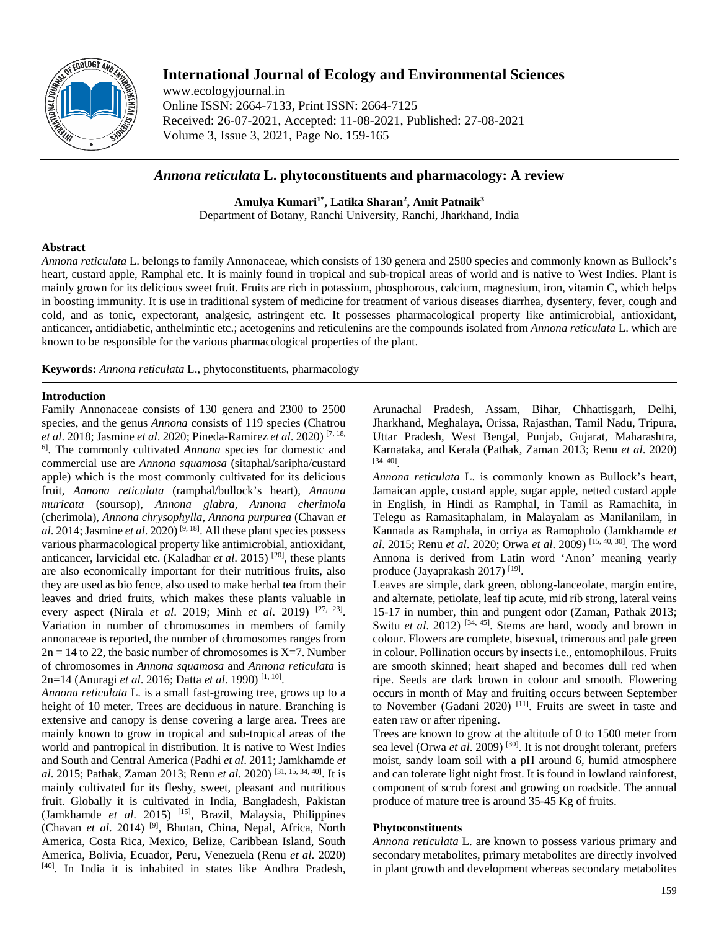

# **International Journal of Ecology and Environmental Sciences**

www.ecologyjournal.in Online ISSN: 2664-7133, Print ISSN: 2664-7125 Received: 26-07-2021, Accepted: 11-08-2021, Published: 27-08-2021 Volume 3, Issue 3, 2021, Page No. 159-165

# *Annona reticulata* **L. phytoconstituents and pharmacology: A review**

**Amulya Kumari1\*, Latika Sharan2 , Amit Patnaik3** Department of Botany, Ranchi University, Ranchi, Jharkhand, India

# **Abstract**

*Annona reticulata* L. belongs to family Annonaceae, which consists of 130 genera and 2500 species and commonly known as Bullock's heart, custard apple, Ramphal etc. It is mainly found in tropical and sub-tropical areas of world and is native to West Indies. Plant is mainly grown for its delicious sweet fruit. Fruits are rich in potassium, phosphorous, calcium, magnesium, iron, vitamin C, which helps in boosting immunity. It is use in traditional system of medicine for treatment of various diseases diarrhea, dysentery, fever, cough and cold, and as tonic, expectorant, analgesic, astringent etc. It possesses pharmacological property like antimicrobial, antioxidant, anticancer, antidiabetic, anthelmintic etc.; acetogenins and reticulenins are the compounds isolated from *Annona reticulata* L. which are known to be responsible for the various pharmacological properties of the plant.

**Keywords:** *Annona reticulata* L., phytoconstituents, pharmacology

# **Introduction**

Family Annonaceae consists of 130 genera and 2300 to 2500 species, and the genus *Annona* consists of 119 species (Chatrou *et al*. 2018; Jasmine *et al*. 2020; Pineda-Ramirez *et al*. 2020) [7, 18, 6] . The commonly cultivated *Annona* species for domestic and commercial use are *Annona squamosa* (sitaphal/saripha/custard apple) which is the most commonly cultivated for its delicious fruit, *Annona reticulata* (ramphal/bullock's heart), *Annona muricata* (soursop), *Annona glabra, Annona cherimola*  (cherimola), *Annona chrysophylla, Annona purpurea* (Chavan *et al*. 2014; Jasmine *et al*. 2020) [9, 18] . All these plant species possess various pharmacological property like antimicrobial, antioxidant, anticancer, larvicidal etc. (Kaladhar *et al*. 2015) [20] , these plants are also economically important for their nutritious fruits, also they are used as bio fence, also used to make herbal tea from their leaves and dried fruits, which makes these plants valuable in every aspect (Nirala *et al.* 2019; Minh *et al.* 2019)<sup>[27, 23]</sup>. Variation in number of chromosomes in members of family annonaceae is reported, the number of chromosomes ranges from  $2n = 14$  to 22, the basic number of chromosomes is X=7. Number of chromosomes in *Annona squamosa* and *Annona reticulata* is 2n=14 (Anuragi *et al*. 2016; Datta *et al*. 1990) [1, 10] .

*Annona reticulata* L. is a small fast-growing tree, grows up to a height of 10 meter. Trees are deciduous in nature. Branching is extensive and canopy is dense covering a large area. Trees are mainly known to grow in tropical and sub-tropical areas of the world and pantropical in distribution. It is native to West Indies and South and Central America (Padhi *et al*. 2011; Jamkhamde *et al*. 2015; Pathak, Zaman 2013; Renu *et al*. 2020) [31, 15, 34, 40] . It is mainly cultivated for its fleshy, sweet, pleasant and nutritious fruit. Globally it is cultivated in India, Bangladesh, Pakistan (Jamkhamde *et al*. 2015) [15] , Brazil, Malaysia, Philippines (Chavan *et al*. 2014) [9] , Bhutan, China, Nepal, Africa, North America, Costa Rica, Mexico, Belize, Caribbean Island, South America, Bolivia, Ecuador, Peru, Venezuela (Renu *et al*. 2020) [40] . In India it is inhabited in states like Andhra Pradesh,

Arunachal Pradesh, Assam, Bihar, Chhattisgarh, Delhi, Jharkhand, Meghalaya, Orissa, Rajasthan, Tamil Nadu, Tripura, Uttar Pradesh, West Bengal, Punjab, Gujarat, Maharashtra, Karnataka, and Kerala (Pathak, Zaman 2013; Renu *et al*. 2020) [34, 40] .

*Annona reticulata* L. is commonly known as Bullock's heart, Jamaican apple, custard apple, sugar apple, netted custard apple in English, in Hindi as Ramphal, in Tamil as Ramachita, in Telegu as Ramasitaphalam, in Malayalam as Manilanilam, in Kannada as Ramphala, in orriya as Ramopholo (Jamkhamde *et al*. 2015; Renu *et al*. 2020; Orwa *et al*. 2009) [15, 40, 30] . The word Annona is derived from Latin word 'Anon' meaning yearly produce (Jayaprakash 2017)<sup>[19]</sup>.

Leaves are simple, dark green, oblong-lanceolate, margin entire, and alternate, petiolate, leaf tip acute, mid rib strong, lateral veins 15-17 in number, thin and pungent odor (Zaman, Pathak 2013; Switu *et al.* 2012)<sup>[34, 45]</sup>. Stems are hard, woody and brown in colour. Flowers are complete, bisexual, trimerous and pale green in colour. Pollination occurs by insects i.e., entomophilous. Fruits are smooth skinned; heart shaped and becomes dull red when ripe. Seeds are dark brown in colour and smooth. Flowering occurs in month of May and fruiting occurs between September to November (Gadani 2020)<sup>[11]</sup>. Fruits are sweet in taste and eaten raw or after ripening.

Trees are known to grow at the altitude of 0 to 1500 meter from sea level (Orwa *et al.* 2009)<sup>[30]</sup>. It is not drought tolerant, prefers moist, sandy loam soil with a pH around 6, humid atmosphere and can tolerate light night frost. It is found in lowland rainforest, component of scrub forest and growing on roadside. The annual produce of mature tree is around 35-45 Kg of fruits.

### **Phytoconstituents**

*Annona reticulata* L. are known to possess various primary and secondary metabolites, primary metabolites are directly involved in plant growth and development whereas secondary metabolites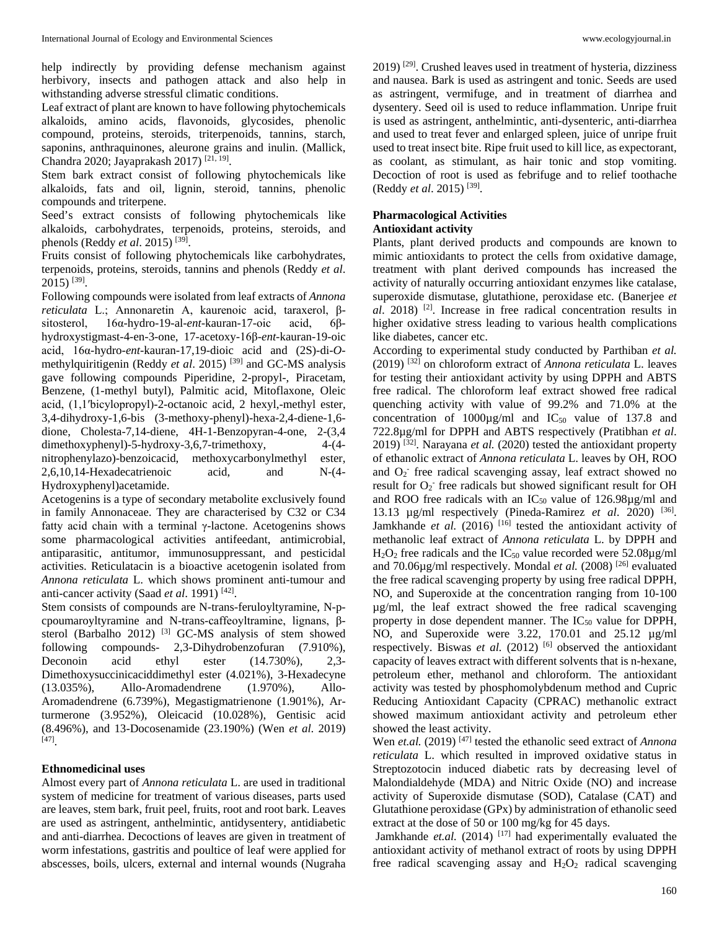help indirectly by providing defense mechanism against herbivory, insects and pathogen attack and also help in withstanding adverse stressful climatic conditions.

Leaf extract of plant are known to have following phytochemicals alkaloids, amino acids, flavonoids, glycosides, phenolic compound, proteins, steroids, triterpenoids, tannins, starch, saponins, anthraquinones, aleurone grains and inulin. (Mallick, Chandra 2020; Jayaprakash 2017)<sup>[21, 19]</sup>.

Stem bark extract consist of following phytochemicals like alkaloids, fats and oil, lignin, steroid, tannins, phenolic compounds and triterpene.

Seed's extract consists of following phytochemicals like alkaloids, carbohydrates, terpenoids, proteins, steroids, and phenols (Reddy *et al*. 2015) [39] .

Fruits consist of following phytochemicals like carbohydrates, terpenoids, proteins, steroids, tannins and phenols (Reddy *et al*. 2015) [39] .

Following compounds were isolated from leaf extracts of *Annona reticulata* L.; Annonaretin A, kaurenoic acid, taraxerol, βsitosterol, 16α-hydro-19-al-*ent*-kauran-17-oic acid, 6βhydroxystigmast-4-en-3-one, 17-acetoxy-16β-*ent-*kauran-19-oic acid, 16α-hydro-*ent*-kauran-17,19-dioic acid and (2S)-di-*O*methylquiritigenin (Reddy *et al*. 2015) [39] and GC-MS analysis gave following compounds Piperidine, 2-propyl-, Piracetam, Benzene, (1-methyl butyl), Palmitic acid, Mitoflaxone, Oleic acid, (1,1′bicylopropyl)-2-octanoic acid, 2 hexyl,-methyl ester, 3,4-dihydroxy-1,6-bis (3-methoxy-phenyl)-hexa-2,4-diene-1,6 dione, Cholesta-7,14-diene, 4H-1-Benzopyran-4-one, 2-(3,4 dimethoxyphenyl)-5-hydroxy-3,6,7-trimethoxy, 4-(4 nitrophenylazo)-benzoicacid, methoxycarbonylmethyl ester,<br>2.6.10.14-Hexadecatrienoic acid, and N-(4-2,6,10,14-Hexadecatrienoic acid, and Hydroxyphenyl)acetamide.

Acetogenins is a type of secondary metabolite exclusively found in family Annonaceae. They are characterised by C32 or C34 fatty acid chain with a terminal γ-lactone. Acetogenins shows some pharmacological activities antifeedant, antimicrobial, antiparasitic, antitumor, immunosuppressant, and pesticidal activities. Reticulatacin is a bioactive acetogenin isolated from *Annona reticulata* L. which shows prominent anti-tumour and anti-cancer activity (Saad *et al.* 1991)<sup>[42]</sup>.

Stem consists of compounds are N-trans-feruloyltyramine, N-pcpoumaroyltyramine and N-trans-caffeoyltramine, lignans, βsterol (Barbalho 2012)<sup>[3]</sup> GC-MS analysis of stem showed following compounds- 2,3-Dihydrobenzofuran (7.910%), Deconoin acid ethyl ester (14.730%), 2,3- Dimethoxysuccinicaciddimethyl ester (4.021%), 3-Hexadecyne (13.035%), Allo-Aromadendrene (1.970%), Allo-Aromadendrene (6.739%), Megastigmatrienone (1.901%), Arturmerone (3.952%), Oleicacid (10.028%), Gentisic acid (8.496%), and 13-Docosenamide (23.190%) (Wen *et al*. 2019) [47] .

# **Ethnomedicinal uses**

Almost every part of *Annona reticulata* L. are used in traditional system of medicine for treatment of various diseases, parts used are leaves, stem bark, fruit peel, fruits, root and root bark. Leaves are used as astringent, anthelmintic, antidysentery, antidiabetic and anti-diarrhea. Decoctions of leaves are given in treatment of worm infestations, gastritis and poultice of leaf were applied for abscesses, boils, ulcers, external and internal wounds (Nugraha

2019)<sup>[29]</sup>. Crushed leaves used in treatment of hysteria, dizziness and nausea. Bark is used as astringent and tonic. Seeds are used as astringent, vermifuge, and in treatment of diarrhea and dysentery. Seed oil is used to reduce inflammation. Unripe fruit is used as astringent, anthelmintic, anti-dysenteric, anti-diarrhea and used to treat fever and enlarged spleen, juice of unripe fruit used to treat insect bite. Ripe fruit used to kill lice, as expectorant, as coolant, as stimulant, as hair tonic and stop vomiting. Decoction of root is used as febrifuge and to relief toothache (Reddy *et al*. 2015) [39] .

#### **Pharmacological Activities Antioxidant activity**

Plants, plant derived products and compounds are known to mimic antioxidants to protect the cells from oxidative damage, treatment with plant derived compounds has increased the activity of naturally occurring antioxidant enzymes like catalase, superoxide dismutase, glutathione, peroxidase etc. (Banerjee *et al*. 2018) [2] . Increase in free radical concentration results in higher oxidative stress leading to various health complications like diabetes, cancer etc.

According to experimental study conducted by Parthiban *et al.* (2019) [32] on chloroform extract of *Annona reticulata* L. leaves for testing their antioxidant activity by using DPPH and ABTS free radical. The chloroform leaf extract showed free radical quenching activity with value of 99.2% and 71.0% at the concentration of  $1000\mu$ g/ml and  $IC_{50}$  value of 137.8 and 722.8µg/ml for DPPH and ABTS respectively (Pratibhan *et al*. 2019) [32] . Narayana *et al.* (2020) tested the antioxidant property of ethanolic extract of *Annona reticulata* L. leaves by OH, ROO and O<sub>2</sub> free radical scavenging assay, leaf extract showed no result for  $O_2$ <sup>-</sup> free radicals but showed significant result for OH and ROO free radicals with an  $IC_{50}$  value of 126.98 $\mu$ g/ml and 13.13 µg/ml respectively (Pineda-Ramirez *et al*. 2020) [36] . Jamkhande *et al.* (2016) <sup>[16]</sup> tested the antioxidant activity of methanolic leaf extract of *Annona reticulata* L. by DPPH and  $H<sub>2</sub>O<sub>2</sub>$  free radicals and the IC<sub>50</sub> value recorded were 52.08 $\mu$ g/ml and 70.06µg/ml respectively. Mondal *et al.* (2008) [26] evaluated the free radical scavenging property by using free radical DPPH, NO, and Superoxide at the concentration ranging from 10-100 µg/ml, the leaf extract showed the free radical scavenging property in dose dependent manner. The  $IC_{50}$  value for DPPH, NO, and Superoxide were 3.22, 170.01 and 25.12 µg/ml respectively. Biswas *et al.* (2012) [6] observed the antioxidant capacity of leaves extract with different solvents that is n-hexane, petroleum ether, methanol and chloroform. The antioxidant activity was tested by phosphomolybdenum method and Cupric Reducing Antioxidant Capacity (CPRAC) methanolic extract showed maximum antioxidant activity and petroleum ether showed the least activity.

Wen *et.al.* (2019) [47] tested the ethanolic seed extract of *Annona reticulata* L. which resulted in improved oxidative status in Streptozotocin induced diabetic rats by decreasing level of Malondialdehyde (MDA) and Nitric Oxide (NO) and increase activity of Superoxide dismutase (SOD), Catalase (CAT) and Glutathione peroxidase (GPx) by administration of ethanolic seed extract at the dose of 50 or 100 mg/kg for 45 days.

Jamkhande *et.al.* (2014) <sup>[17]</sup> had experimentally evaluated the antioxidant activity of methanol extract of roots by using DPPH free radical scavenging assay and  $H_2O_2$  radical scavenging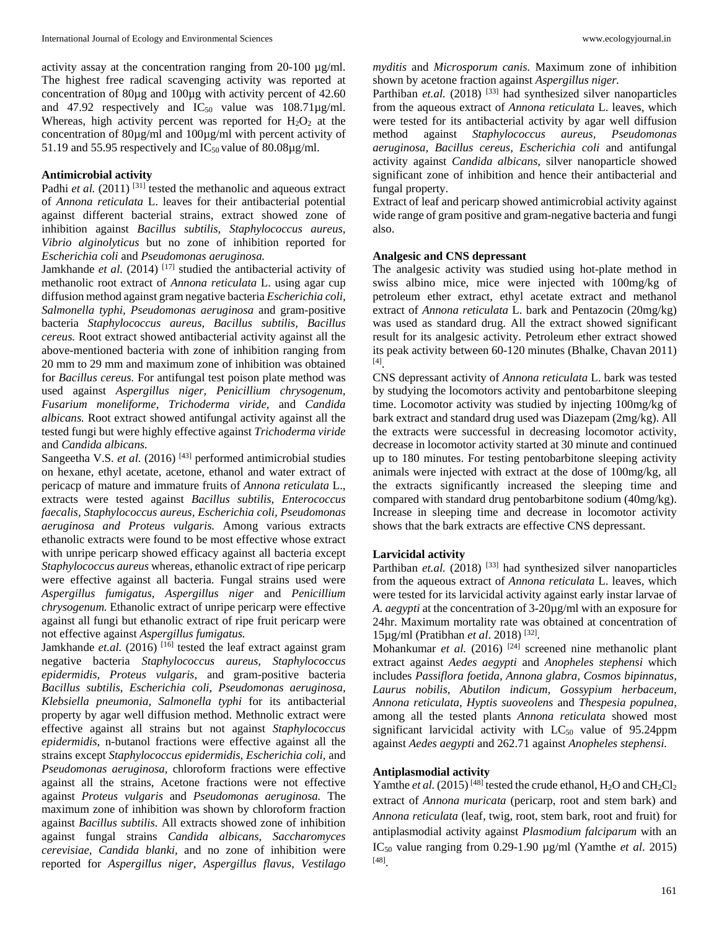activity assay at the concentration ranging from 20-100 µg/ml. The highest free radical scavenging activity was reported at concentration of 80µg and 100µg with activity percent of 42.60 and 47.92 respectively and  $IC_{50}$  value was  $108.71\mu g/ml$ . Whereas, high activity percent was reported for  $H_2O_2$  at the concentration of 80µg/ml and 100µg/ml with percent activity of 51.19 and 55.95 respectively and  $IC_{50}$  value of 80.08 $\mu$ g/ml.

# **Antimicrobial activity**

Padhi *et al.* (2011)<sup>[31]</sup> tested the methanolic and aqueous extract of *Annona reticulata* L. leaves for their antibacterial potential against different bacterial strains, extract showed zone of inhibition against *Bacillus subtilis, Staphylococcus aureus, Vibrio alginolyticus* but no zone of inhibition reported for *Escherichia coli* and *Pseudomonas aeruginosa.*

Jamkhande *et al.* (2014)<sup>[17]</sup> studied the antibacterial activity of methanolic root extract of *Annona reticulata* L. using agar cup diffusion method against gram negative bacteria *Escherichia coli, Salmonella typhi, Pseudomonas aeruginosa* and gram-positive bacteria *Staphylococcus aureus, Bacillus subtilis, Bacillus cereus.* Root extract showed antibacterial activity against all the above-mentioned bacteria with zone of inhibition ranging from 20 mm to 29 mm and maximum zone of inhibition was obtained for *Bacillus cereus.* For antifungal test poison plate method was used against *Aspergillus niger, Penicillium chrysogenum, Fusarium moneliforme, Trichoderma viride,* and *Candida albicans.* Root extract showed antifungal activity against all the tested fungi but were highly effective against *Trichoderma viride*  and *Candida albicans.*

Sangeetha V.S. *et al.* (2016)<sup>[43]</sup> performed antimicrobial studies on hexane, ethyl acetate, acetone, ethanol and water extract of pericacp of mature and immature fruits of *Annona reticulata* L., extracts were tested against *Bacillus subtilis, Enterococcus faecalis, Staphylococcus aureus, Escherichia coli, Pseudomonas aeruginosa and Proteus vulgaris.* Among various extracts ethanolic extracts were found to be most effective whose extract with unripe pericarp showed efficacy against all bacteria except *Staphylococcus aureus* whereas, ethanolic extract of ripe pericarp were effective against all bacteria. Fungal strains used were *Aspergillus fumigatus, Aspergillus niger* and *Penicillium chrysogenum.* Ethanolic extract of unripe pericarp were effective against all fungi but ethanolic extract of ripe fruit pericarp were not effective against *Aspergillus fumigatus.*

Jamkhande *et.al.* (2016)<sup>[16]</sup> tested the leaf extract against gram negative bacteria *Staphylococcus aureus, Staphylococcus epidermidis, Proteus vulgaris,* and gram-positive bacteria *Bacillus subtilis, Escherichia coli, Pseudomonas aeruginosa, Klebsiella pneumonia, Salmonella typhi* for its antibacterial property by agar well diffusion method. Methnolic extract were effective against all strains but not against *Staphylococcus epidermidis*, n-butanol fractions were effective against all the strains except *Staphylococcus epidermidis, Escherichia coli,* and *Pseudomonas aeruginosa,* chloroform fractions were effective against all the strains, Acetone fractions were not effective against *Proteus vulgaris* and *Pseudomonas aeruginosa.* The maximum zone of inhibition was shown by chloroform fraction against *Bacillus subtilis.* All extracts showed zone of inhibition against fungal strains *Candida albicans, Saccharomyces cerevisiae, Candida blanki,* and no zone of inhibition were reported for *Aspergillus niger, Aspergillus flavus, Vestilago* 

*myditis* and *Microsporum canis.* Maximum zone of inhibition shown by acetone fraction against *Aspergillus niger.*

Parthiban *et.al.* (2018)<sup>[33]</sup> had synthesized silver nanoparticles from the aqueous extract of *Annona reticulata* L. leaves, which were tested for its antibacterial activity by agar well diffusion method against *Staphylococcus aureus, Pseudomonas aeruginosa, Bacillus cereus*, *Escherichia coli* and antifungal activity against *Candida albicans,* silver nanoparticle showed significant zone of inhibition and hence their antibacterial and fungal property.

Extract of leaf and pericarp showed antimicrobial activity against wide range of gram positive and gram-negative bacteria and fungi also.

#### **Analgesic and CNS depressant**

The analgesic activity was studied using hot-plate method in swiss albino mice, mice were injected with 100mg/kg of petroleum ether extract, ethyl acetate extract and methanol extract of *Annona reticulata* L. bark and Pentazocin (20mg/kg) was used as standard drug. All the extract showed significant result for its analgesic activity. Petroleum ether extract showed its peak activity between 60-120 minutes (Bhalke, Chavan 2011) [4] .

CNS depressant activity of *Annona reticulata* L. bark was tested by studying the locomotors activity and pentobarbitone sleeping time. Locomotor activity was studied by injecting 100mg/kg of bark extract and standard drug used was Diazepam (2mg/kg). All the extracts were successful in decreasing locomotor activity, decrease in locomotor activity started at 30 minute and continued up to 180 minutes. For testing pentobarbitone sleeping activity animals were injected with extract at the dose of 100mg/kg, all the extracts significantly increased the sleeping time and compared with standard drug pentobarbitone sodium (40mg/kg). Increase in sleeping time and decrease in locomotor activity shows that the bark extracts are effective CNS depressant.

#### **Larvicidal activity**

Parthiban *et.al.* (2018)<sup>[33]</sup> had synthesized silver nanoparticles from the aqueous extract of *Annona reticulata* L. leaves, which were tested for its larvicidal activity against early instar larvae of *A. aegypti* at the concentration of 3-20µg/ml with an exposure for 24hr. Maximum mortality rate was obtained at concentration of 15µg/ml (Pratibhan *et al*. 2018) [32] .

Mohankumar *et al.* (2016)<sup>[24]</sup> screened nine methanolic plant extract against *Aedes aegypti* and *Anopheles stephensi* which includes *Passiflora foetida, Annona glabra, Cosmos bipinnatus, Laurus nobilis, Abutilon indicum, Gossypium herbaceum, Annona reticulata, Hyptis suoveolens* and *Thespesia populnea,*  among all the tested plants *Annona reticulata* showed most significant larvicidal activity with  $LC_{50}$  value of 95.24ppm against *Aedes aegypti* and 262.71 against *Anopheles stephensi.*

# **Antiplasmodial activity**

Yamthe *et al.* (2015)<sup>[48]</sup> tested the crude ethanol,  $H_2O$  and  $CH_2Cl_2$ extract of *Annona muricata* (pericarp, root and stem bark) and *Annona reticulata* (leaf, twig, root, stem bark, root and fruit) for antiplasmodial activity against *Plasmodium falciparum* with an IC50 value ranging from 0.29-1.90 µg/ml (Yamthe *et al*. 2015) [48] .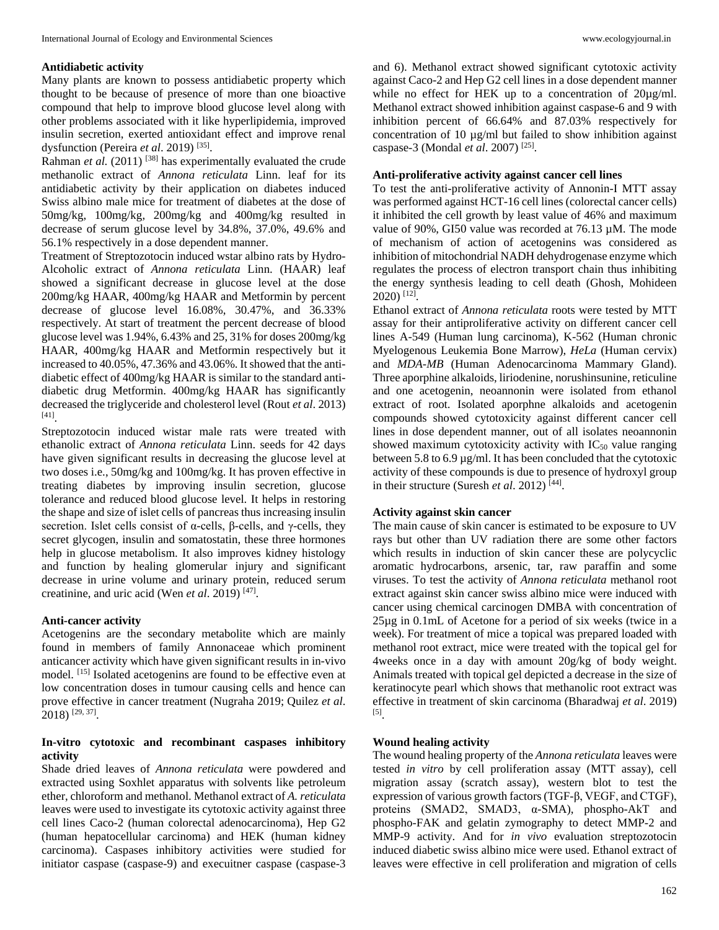#### **Antidiabetic activity**

Many plants are known to possess antidiabetic property which thought to be because of presence of more than one bioactive compound that help to improve blood glucose level along with other problems associated with it like hyperlipidemia, improved insulin secretion, exerted antioxidant effect and improve renal dysfunction (Pereira *et al*. 2019) [35] .

Rahman *et al.* (2011)<sup>[38]</sup> has experimentally evaluated the crude methanolic extract of *Annona reticulata* Linn. leaf for its antidiabetic activity by their application on diabetes induced Swiss albino male mice for treatment of diabetes at the dose of 50mg/kg, 100mg/kg, 200mg/kg and 400mg/kg resulted in decrease of serum glucose level by 34.8%, 37.0%, 49.6% and 56.1% respectively in a dose dependent manner.

Treatment of Streptozotocin induced wstar albino rats by Hydro-Alcoholic extract of *Annona reticulata* Linn. (HAAR) leaf showed a significant decrease in glucose level at the dose 200mg/kg HAAR, 400mg/kg HAAR and Metformin by percent decrease of glucose level 16.08%, 30.47%, and 36.33% respectively. At start of treatment the percent decrease of blood glucose level was 1.94%, 6.43% and 25, 31% for doses 200mg/kg HAAR, 400mg/kg HAAR and Metformin respectively but it increased to 40.05%, 47.36% and 43.06%. It showed that the antidiabetic effect of 400mg/kg HAAR is similar to the standard antidiabetic drug Metformin. 400mg/kg HAAR has significantly decreased the triglyceride and cholesterol level (Rout *et al*. 2013) [41] .

Streptozotocin induced wistar male rats were treated with ethanolic extract of *Annona reticulata* Linn. seeds for 42 days have given significant results in decreasing the glucose level at two doses i.e., 50mg/kg and 100mg/kg. It has proven effective in treating diabetes by improving insulin secretion, glucose tolerance and reduced blood glucose level. It helps in restoring the shape and size of islet cells of pancreas thus increasing insulin secretion. Islet cells consist of  $\alpha$ -cells,  $\beta$ -cells, and  $\gamma$ -cells, they secret glycogen, insulin and somatostatin, these three hormones help in glucose metabolism. It also improves kidney histology and function by healing glomerular injury and significant decrease in urine volume and urinary protein, reduced serum creatinine, and uric acid (Wen *et al*. 2019) [47] .

#### **Anti-cancer activity**

Acetogenins are the secondary metabolite which are mainly found in members of family Annonaceae which prominent anticancer activity which have given significant results in in-vivo model. [15] Isolated acetogenins are found to be effective even at low concentration doses in tumour causing cells and hence can prove effective in cancer treatment (Nugraha 2019; Quilez *et al*. 2018) [29, 37] .

# **In-vitro cytotoxic and recombinant caspases inhibitory activity**

Shade dried leaves of *Annona reticulata* were powdered and extracted using Soxhlet apparatus with solvents like petroleum ether, chloroform and methanol. Methanol extract of *A. reticulata*  leaves were used to investigate its cytotoxic activity against three cell lines Caco-2 (human colorectal adenocarcinoma), Hep G2 (human hepatocellular carcinoma) and HEK (human kidney carcinoma). Caspases inhibitory activities were studied for initiator caspase (caspase-9) and execuitner caspase (caspase-3 and 6). Methanol extract showed significant cytotoxic activity against Caco-2 and Hep G2 cell lines in a dose dependent manner while no effect for HEK up to a concentration of  $20\mu g/ml$ . Methanol extract showed inhibition against caspase-6 and 9 with inhibition percent of 66.64% and 87.03% respectively for concentration of 10 µg/ml but failed to show inhibition against caspase-3 (Mondal *et al*. 2007) [25] .

# **Anti-proliferative activity against cancer cell lines**

To test the anti-proliferative activity of Annonin-I MTT assay was performed against HCT-16 cell lines (colorectal cancer cells) it inhibited the cell growth by least value of 46% and maximum value of 90%, GI50 value was recorded at 76.13 µM. The mode of mechanism of action of acetogenins was considered as inhibition of mitochondrial NADH dehydrogenase enzyme which regulates the process of electron transport chain thus inhibiting the energy synthesis leading to cell death (Ghosh, Mohideen 2020) [12] .

Ethanol extract of *Annona reticulata* roots were tested by MTT assay for their antiproliferative activity on different cancer cell lines A-549 (Human lung carcinoma), K-562 (Human chronic Myelogenous Leukemia Bone Marrow), *HeLa* (Human cervix) and *MDA-MB* (Human Adenocarcinoma Mammary Gland). Three aporphine alkaloids, liriodenine, norushinsunine, reticuline and one acetogenin, neoannonin were isolated from ethanol extract of root. Isolated aporphne alkaloids and acetogenin compounds showed cytotoxicity against different cancer cell lines in dose dependent manner, out of all isolates neoannonin showed maximum cytotoxicity activity with  $IC_{50}$  value ranging between 5.8 to 6.9 µg/ml. It has been concluded that the cytotoxic activity of these compounds is due to presence of hydroxyl group in their structure (Suresh *et al.* 2012)<sup>[44]</sup>.

#### **Activity against skin cancer**

The main cause of skin cancer is estimated to be exposure to UV rays but other than UV radiation there are some other factors which results in induction of skin cancer these are polycyclic aromatic hydrocarbons, arsenic, tar, raw paraffin and some viruses. To test the activity of *Annona reticulata* methanol root extract against skin cancer swiss albino mice were induced with cancer using chemical carcinogen DMBA with concentration of 25µg in 0.1mL of Acetone for a period of six weeks (twice in a week). For treatment of mice a topical was prepared loaded with methanol root extract, mice were treated with the topical gel for 4weeks once in a day with amount 20g/kg of body weight. Animals treated with topical gel depicted a decrease in the size of keratinocyte pearl which shows that methanolic root extract was effective in treatment of skin carcinoma (Bharadwaj *et al*. 2019) [5] .

### **Wound healing activity**

The wound healing property of the *Annona reticulata* leaves were tested *in vitro* by cell proliferation assay (MTT assay), cell migration assay (scratch assay), western blot to test the expression of various growth factors (TGF-β, VEGF, and CTGF), proteins (SMAD2, SMAD3, α-SMA), phospho-AkT and phospho-FAK and gelatin zymography to detect MMP-2 and MMP-9 activity. And for *in vivo* evaluation streptozotocin induced diabetic swiss albino mice were used. Ethanol extract of leaves were effective in cell proliferation and migration of cells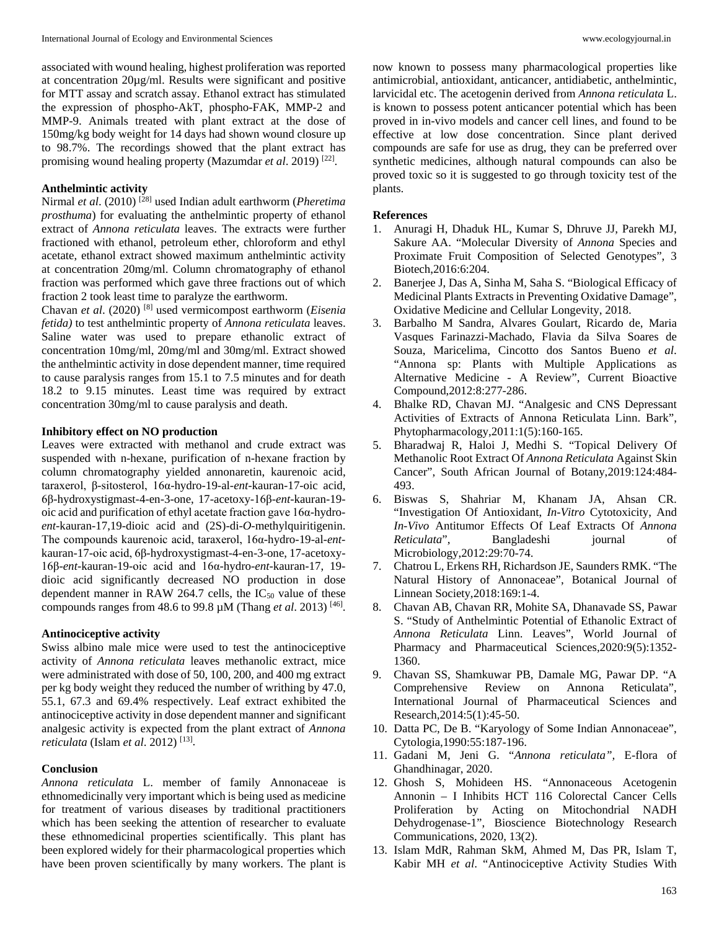associated with wound healing, highest proliferation was reported at concentration 20µg/ml. Results were significant and positive for MTT assay and scratch assay. Ethanol extract has stimulated the expression of phospho-AkT, phospho-FAK, MMP-2 and MMP-9. Animals treated with plant extract at the dose of 150mg/kg body weight for 14 days had shown wound closure up to 98.7%. The recordings showed that the plant extract has promising wound healing property (Mazumdar et al. 2019)<sup>[22]</sup>.

#### **Anthelmintic activity**

Nirmal *et al*. (2010) [28] used Indian adult earthworm (*Pheretima prosthuma*) for evaluating the anthelmintic property of ethanol extract of *Annona reticulata* leaves. The extracts were further fractioned with ethanol, petroleum ether, chloroform and ethyl acetate, ethanol extract showed maximum anthelmintic activity at concentration 20mg/ml. Column chromatography of ethanol fraction was performed which gave three fractions out of which fraction 2 took least time to paralyze the earthworm.

Chavan *et al*. (2020) [8] used vermicompost earthworm (*Eisenia fetida)* to test anthelmintic property of *Annona reticulata* leaves. Saline water was used to prepare ethanolic extract of concentration 10mg/ml, 20mg/ml and 30mg/ml. Extract showed the anthelmintic activity in dose dependent manner, time required to cause paralysis ranges from 15.1 to 7.5 minutes and for death 18.2 to 9.15 minutes. Least time was required by extract concentration 30mg/ml to cause paralysis and death.

### **Inhibitory effect on NO production**

Leaves were extracted with methanol and crude extract was suspended with n-hexane, purification of n-hexane fraction by column chromatography yielded annonaretin, kaurenoic acid, taraxerol, β-sitosterol, 16α-hydro-19-al-*ent*-kauran-17-oic acid, 6β-hydroxystigmast-4-en-3-one, 17-acetoxy-16β-*ent-*kauran-19 oic acid and purification of ethyl acetate fraction gave 16α-hydro*ent*-kauran-17,19-dioic acid and (2S)-di-*O*-methylquiritigenin. The compounds kaurenoic acid, taraxerol, 16α-hydro-19-al-*ent*kauran-17-oic acid, 6β-hydroxystigmast-4-en-3-one, 17-acetoxy-16β-*ent-*kauran-19-oic acid and 16α-hydro-*ent*-kauran-17, 19 dioic acid significantly decreased NO production in dose dependent manner in RAW 264.7 cells, the  $IC_{50}$  value of these compounds ranges from 48.6 to 99.8 µM (Thang *et al*. 2013) [46] .

#### **Antinociceptive activity**

Swiss albino male mice were used to test the antinociceptive activity of *Annona reticulata* leaves methanolic extract, mice were administrated with dose of 50, 100, 200, and 400 mg extract per kg body weight they reduced the number of writhing by 47.0, 55.1, 67.3 and 69.4% respectively. Leaf extract exhibited the antinociceptive activity in dose dependent manner and significant analgesic activity is expected from the plant extract of *Annona reticulata* (Islam *et al*. 2012) [13] .

### **Conclusion**

*Annona reticulata* L. member of family Annonaceae is ethnomedicinally very important which is being used as medicine for treatment of various diseases by traditional practitioners which has been seeking the attention of researcher to evaluate these ethnomedicinal properties scientifically. This plant has been explored widely for their pharmacological properties which have been proven scientifically by many workers. The plant is

now known to possess many pharmacological properties like antimicrobial, antioxidant, anticancer, antidiabetic, anthelmintic, larvicidal etc. The acetogenin derived from *Annona reticulata* L. is known to possess potent anticancer potential which has been proved in in-vivo models and cancer cell lines, and found to be effective at low dose concentration. Since plant derived compounds are safe for use as drug, they can be preferred over synthetic medicines, although natural compounds can also be proved toxic so it is suggested to go through toxicity test of the plants.

#### **References**

- 1. Anuragi H, Dhaduk HL, Kumar S, Dhruve JJ, Parekh MJ, Sakure AA. "Molecular Diversity of *Annona* Species and Proximate Fruit Composition of Selected Genotypes", 3 Biotech,2016:6:204.
- 2. Banerjee J, Das A, Sinha M, Saha S. "Biological Efficacy of Medicinal Plants Extracts in Preventing Oxidative Damage", Oxidative Medicine and Cellular Longevity, 2018.
- 3. Barbalho M Sandra, Alvares Goulart, Ricardo de, Maria Vasques Farinazzi-Machado, Flavia da Silva Soares de Souza, Maricelima, Cincotto dos Santos Bueno *et al*. "Annona sp: Plants with Multiple Applications as Alternative Medicine - A Review", Current Bioactive Compound,2012:8:277-286.
- 4. Bhalke RD, Chavan MJ. "Analgesic and CNS Depressant Activities of Extracts of Annona Reticulata Linn. Bark", Phytopharmacology,2011:1(5):160-165.
- 5. Bharadwaj R, Haloi J, Medhi S. "Topical Delivery Of Methanolic Root Extract Of *Annona Reticulata* Against Skin Cancer", South African Journal of Botany,2019:124:484- 493.
- 6. Biswas S, Shahriar M, Khanam JA, Ahsan CR. "Investigation Of Antioxidant, *In-Vitro* Cytotoxicity, And *In-Vivo* Antitumor Effects Of Leaf Extracts Of *Annona Reticulata*", Bangladeshi journal of Microbiology,2012:29:70-74.
- 7. Chatrou L, Erkens RH, Richardson JE, Saunders RMK. "The Natural History of Annonaceae", Botanical Journal of Linnean Society,2018:169:1-4.
- 8. Chavan AB, Chavan RR, Mohite SA, Dhanavade SS, Pawar S. "Study of Anthelmintic Potential of Ethanolic Extract of *Annona Reticulata* Linn. Leaves", World Journal of Pharmacy and Pharmaceutical Sciences,2020:9(5):1352- 1360.
- 9. Chavan SS, Shamkuwar PB, Damale MG, Pawar DP. "A Comprehensive Review on Annona Reticulata", International Journal of Pharmaceutical Sciences and Research,2014:5(1):45-50.
- 10. Datta PC, De B. "Karyology of Some Indian Annonaceae", Cytologia,1990:55:187-196.
- 11. Gadani M, Jeni G. "*Annona reticulata",* E-flora of Ghandhinagar, 2020.
- 12. Ghosh S, Mohideen HS. "Annonaceous Acetogenin Annonin – I Inhibits HCT 116 Colorectal Cancer Cells Proliferation by Acting on Mitochondrial NADH Dehydrogenase-1", Bioscience Biotechnology Research Communications, 2020, 13(2).
- 13. Islam MdR, Rahman SkM, Ahmed M, Das PR, Islam T, Kabir MH *et al*. "Antinociceptive Activity Studies With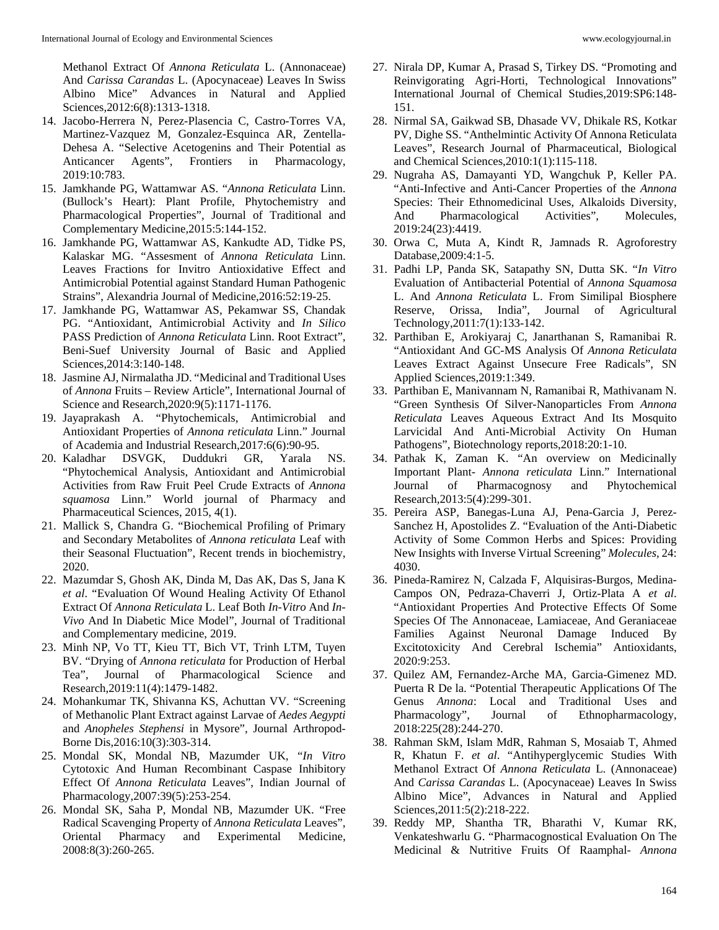Methanol Extract Of *Annona Reticulata* L. (Annonaceae) And *Carissa Carandas* L. (Apocynaceae) Leaves In Swiss Albino Mice" Advances in Natural and Applied Sciences,2012:6(8):1313-1318.

- 14. Jacobo-Herrera N, Perez-Plasencia C, Castro-Torres VA, Martinez-Vazquez M, Gonzalez-Esquinca AR, Zentella-Dehesa A. "Selective Acetogenins and Their Potential as Anticancer Agents", Frontiers in Pharmacology, 2019:10:783.
- 15. Jamkhande PG, Wattamwar AS. "*Annona Reticulata* Linn. (Bullock's Heart): Plant Profile, Phytochemistry and Pharmacological Properties", Journal of Traditional and Complementary Medicine,2015:5:144-152.
- 16. Jamkhande PG, Wattamwar AS, Kankudte AD, Tidke PS, Kalaskar MG. "Assesment of *Annona Reticulata* Linn. Leaves Fractions for Invitro Antioxidative Effect and Antimicrobial Potential against Standard Human Pathogenic Strains", Alexandria Journal of Medicine,2016:52:19-25.
- 17. Jamkhande PG, Wattamwar AS, Pekamwar SS, Chandak PG. "Antioxidant, Antimicrobial Activity and *In Silico* PASS Prediction of *Annona Reticulata* Linn. Root Extract", Beni-Suef University Journal of Basic and Applied Sciences,2014:3:140-148.
- 18. Jasmine AJ, Nirmalatha JD. "Medicinal and Traditional Uses of *Annona* Fruits – Review Article", International Journal of Science and Research,2020:9(5):1171-1176.
- 19. Jayaprakash A. "Phytochemicals, Antimicrobial and Antioxidant Properties of *Annona reticulata* Linn." Journal of Academia and Industrial Research,2017:6(6):90-95.
- 20. Kaladhar DSVGK, Duddukri GR, Yarala NS. "Phytochemical Analysis, Antioxidant and Antimicrobial Activities from Raw Fruit Peel Crude Extracts of *Annona squamosa* Linn." World journal of Pharmacy and Pharmaceutical Sciences, 2015, 4(1).
- 21. Mallick S, Chandra G. "Biochemical Profiling of Primary and Secondary Metabolites of *Annona reticulata* Leaf with their Seasonal Fluctuation", Recent trends in biochemistry, 2020.
- 22. Mazumdar S, Ghosh AK, Dinda M, Das AK, Das S, Jana K *et al*. "Evaluation Of Wound Healing Activity Of Ethanol Extract Of *Annona Reticulata* L. Leaf Both *In-Vitro* And *In-Vivo* And In Diabetic Mice Model", Journal of Traditional and Complementary medicine, 2019.
- 23. Minh NP, Vo TT, Kieu TT, Bich VT, Trinh LTM, Tuyen BV. "Drying of *Annona reticulata* for Production of Herbal Tea", Journal of Pharmacological Science and Research,2019:11(4):1479-1482.
- 24. Mohankumar TK, Shivanna KS, Achuttan VV. "Screening of Methanolic Plant Extract against Larvae of *Aedes Aegypti*  and *Anopheles Stephensi* in Mysore", Journal Arthropod-Borne Dis,2016:10(3):303-314.
- 25. Mondal SK, Mondal NB, Mazumder UK, "*In Vitro*  Cytotoxic And Human Recombinant Caspase Inhibitory Effect Of *Annona Reticulata* Leaves", Indian Journal of Pharmacology,2007:39(5):253-254.
- 26. Mondal SK, Saha P, Mondal NB, Mazumder UK. "Free Radical Scavenging Property of *Annona Reticulata* Leaves", Oriental Pharmacy and Experimental Medicine, 2008:8(3):260-265.
- 27. Nirala DP, Kumar A, Prasad S, Tirkey DS. "Promoting and Reinvigorating Agri-Horti, Technological Innovations" International Journal of Chemical Studies,2019:SP6:148- 151.
- 28. Nirmal SA, Gaikwad SB, Dhasade VV, Dhikale RS, Kotkar PV, Dighe SS. "Anthelmintic Activity Of Annona Reticulata Leaves", Research Journal of Pharmaceutical, Biological and Chemical Sciences,2010:1(1):115-118.
- 29. Nugraha AS, Damayanti YD, Wangchuk P, Keller PA. "Anti-Infective and Anti-Cancer Properties of the *Annona*  Species: Their Ethnomedicinal Uses, Alkaloids Diversity, And Pharmacological Activities", Molecules, 2019:24(23):4419.
- 30. Orwa C, Muta A, Kindt R, Jamnads R. Agroforestry Database,2009:4:1-5.
- 31. Padhi LP, Panda SK, Satapathy SN, Dutta SK. "*In Vitro* Evaluation of Antibacterial Potential of *Annona Squamosa*  L. And *Annona Reticulata* L. From Similipal Biosphere Reserve, Orissa, India", Journal of Agricultural Technology,2011:7(1):133-142.
- 32. Parthiban E, Arokiyaraj C, Janarthanan S, Ramanibai R. "Antioxidant And GC-MS Analysis Of *Annona Reticulata*  Leaves Extract Against Unsecure Free Radicals", SN Applied Sciences,2019:1:349.
- 33. Parthiban E, Manivannam N, Ramanibai R, Mathivanam N. "Green Synthesis Of Silver-Nanoparticles From *Annona Reticulata* Leaves Aqueous Extract And Its Mosquito Larvicidal And Anti-Microbial Activity On Human Pathogens", Biotechnology reports,2018:20:1-10.
- 34. Pathak K, Zaman K. "An overview on Medicinally Important Plant- *Annona reticulata* Linn." International Journal of Pharmacognosy and Phytochemical Research,2013:5(4):299-301.
- 35. Pereira ASP, Banegas-Luna AJ, Pena-Garcia J, Perez-Sanchez H, Apostolides Z. "Evaluation of the Anti-Diabetic Activity of Some Common Herbs and Spices: Providing New Insights with Inverse Virtual Screening" *Molecules,* 24: 4030.
- 36. Pineda-Ramirez N, Calzada F, Alquisiras-Burgos, Medina-Campos ON, Pedraza-Chaverri J, Ortiz-Plata A *et al*. "Antioxidant Properties And Protective Effects Of Some Species Of The Annonaceae, Lamiaceae, And Geraniaceae Families Against Neuronal Damage Induced By Excitotoxicity And Cerebral Ischemia" Antioxidants, 2020:9:253.
- 37. Quilez AM, Fernandez-Arche MA, Garcia-Gimenez MD. Puerta R De la. "Potential Therapeutic Applications Of The Genus *Annona*: Local and Traditional Uses and Pharmacology", Journal of Ethnopharmacology, 2018:225(28):244-270.
- 38. Rahman SkM, Islam MdR, Rahman S, Mosaiab T, Ahmed R, Khatun F. *et al*. "Antihyperglycemic Studies With Methanol Extract Of *Annona Reticulata* L. (Annonaceae) And *Carissa Carandas* L. (Apocynaceae) Leaves In Swiss Albino Mice", Advances in Natural and Applied Sciences,2011:5(2):218-222.
- 39. Reddy MP, Shantha TR, Bharathi V, Kumar RK, Venkateshwarlu G. "Pharmacognostical Evaluation On The Medicinal & Nutritive Fruits Of Raamphal- *Annona*